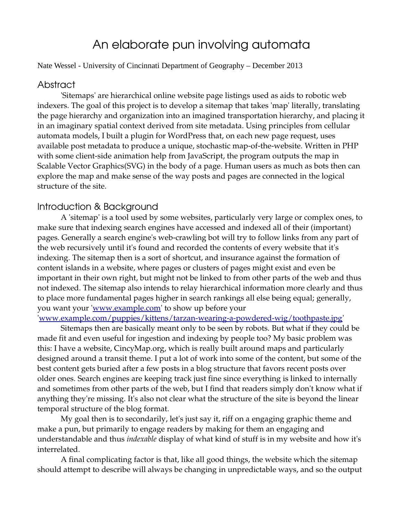# An elaborate pun involving automata

#### Nate Wessel - University of Cincinnati Department of Geography – December 2013

### Abstract

'Sitemaps' are hierarchical online website page listings used as aids to robotic web indexers. The goal of this project is to develop a sitemap that takes 'map' literally, translating the page hierarchy and organization into an imagined transportation hierarchy, and placing it in an imaginary spatial context derived from site metadata. Using principles from cellular automata models, I built a plugin for WordPress that, on each new page request, uses available post metadata to produce a unique, stochastic map-of-the-website. Written in PHP with some client-side animation help from JavaScript, the program outputs the map in Scalable Vector Graphics(SVG) in the body of a page. Human users as much as bots then can explore the map and make sense of the way posts and pages are connected in the logical structure of the site.

## Introduction & Background

A 'sitemap' is a tool used by some websites, particularly very large or complex ones, to make sure that indexing search engines have accessed and indexed all of their (important) pages. Generally a search engine's web-crawling bot will try to follow links from any part of the web recursively until it's found and recorded the contents of every website that it's indexing. The sitemap then is a sort of shortcut, and insurance against the formation of content islands in a website, where pages or clusters of pages might exist and even be important in their own right, but might not be linked to from other parts of the web and thus not indexed. The sitemap also intends to relay hierarchical information more clearly and thus to place more fundamental pages higher in search rankings all else being equal; generally, you want your '<u>www.example.com</u>' to show up before your

'www.example.com/puppies/kittens/tarzan-wearing-a-powdered-wig/toothpaste.jpg'

Sitemaps then are basically meant only to be seen by robots. But what if they could be made fit and even useful for ingestion and indexing by people too? My basic problem was this: I have a website, CincyMap.org, which is really built around maps and particularly designed around a transit theme. I put a lot of work into some of the content, but some of the best content gets buried after a few posts in a blog structure that favors recent posts over older ones. Search engines are keeping track just fine since everything is linked to internally and sometimes from other parts of the web, but I find that readers simply don't know what if anything they're missing. It's also not clear what the structure of the site is beyond the linear temporal structure of the blog format.

My goal then is to secondarily, let's just say it, riff on a engaging graphic theme and make a pun, but primarily to engage readers by making for them an engaging and understandable and thus *indexable* display of what kind of stuff is in my website and how it's interrelated.

A final complicating factor is that, like all good things, the website which the sitemap should attempt to describe will always be changing in unpredictable ways, and so the output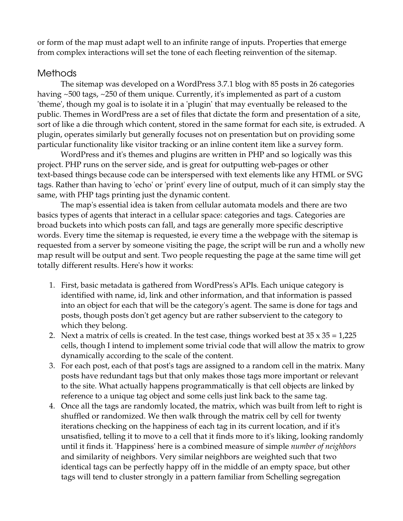or form of the map must adapt well to an infinite range of inputs. Properties that emerge from complex interactions will set the tone of each fleeting reinvention of the sitemap.

# Methods

The sitemap was developed on a WordPress 3.7.1 blog with 85 posts in 26 categories having ~500 tags, ~250 of them unique. Currently, it's implemented as part of a custom 'theme', though my goal is to isolate it in a 'plugin' that may eventually be released to the public. Themes in WordPress are a set of files that dictate the form and presentation of a site, sort of like a die through which content, stored in the same format for each site, is extruded. A plugin, operates similarly but generally focuses not on presentation but on providing some particular functionality like visitor tracking or an inline content item like a survey form.

WordPress and it's themes and plugins are written in PHP and so logically was this project. PHP runs on the server side, and is great for outputting web-pages or other text-based things because code can be interspersed with text elements like any HTML or SVG tags. Rather than having to 'echo' or 'print' every line of output, much of it can simply stay the same, with PHP tags printing just the dynamic content.

The map's essential idea is taken from cellular automata models and there are two basics types of agents that interact in a cellular space: categories and tags. Categories are broad buckets into which posts can fall, and tags are generally more specific descriptive words. Every time the sitemap is requested, ie every time a the webpage with the sitemap is requested from a server by someone visiting the page, the script will be run and a wholly new map result will be output and sent. Two people requesting the page at the same time will get totally different results. Here's how it works:

- 1. First, basic metadata is gathered from WordPress's APIs. Each unique category is identified with name, id, link and other information, and that information is passed into an object for each that will be the category's agent. The same is done for tags and posts, though posts don't get agency but are rather subservient to the category to which they belong.
- 2. Next a matrix of cells is created. In the test case, things worked best at  $35 \times 35 = 1,225$ cells, though I intend to implement some trivial code that will allow the matrix to grow dynamically according to the scale of the content.
- 3. For each post, each of that post's tags are assigned to a random cell in the matrix. Many posts have redundant tags but that only makes those tags more important or relevant to the site. What actually happens programmatically is that cell objects are linked by reference to a unique tag object and some cells just link back to the same tag.
- 4. Once all the tags are randomly located, the matrix, which was built from left to right is shuffled or randomized. We then walk through the matrix cell by cell for twenty iterations checking on the happiness of each tag in its current location, and if it's unsatisfied, telling it to move to a cell that it finds more to it's liking, looking randomly until it finds it. 'Happiness' here is a combined measure of simple *number of neighbors* and similarity of neighbors. Very similar neighbors are weighted such that two identical tags can be perfectly happy off in the middle of an empty space, but other tags will tend to cluster strongly in a pattern familiar from Schelling segregation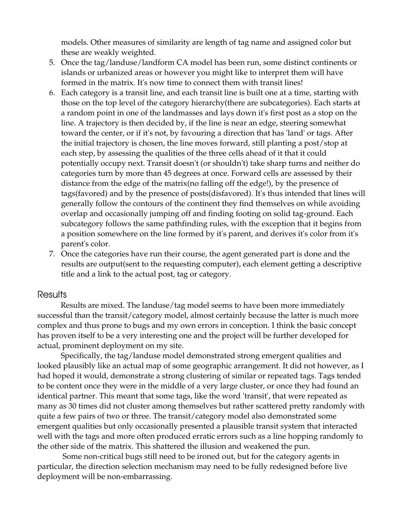models. Other measures of similarity are length of tag name and assigned color but these are weakly weighted.

- 5. Once the tag/landuse/landform CA model has been run, some distinct continents or islands or urbanized areas or however you might like to interpret them will have formed in the matrix. It's now time to connect them with transit lines!
- 6. Each category is a transit line, and each transit line is built one at a time, starting with those on the top level of the category hierarchy(there are subcategories). Each starts at a random point in one of the landmasses and lays down it's first post as a stop on the line. A trajectory is then decided by, if the line is near an edge, steering somewhat toward the center, or if it's not, by favouring a direction that has 'land' or tags. After the initial trajectory is chosen, the line moves forward, still planting a post/stop at each step, by assessing the qualities of the three cells ahead of it that it could potentially occupy next. Transit doesn't (or shouldn't) take sharp turns and neither do categories turn by more than 45 degrees at once. Forward cells are assessed by their distance from the edge of the matrix(no falling off the edge!), by the presence of tags(favored) and by the presence of posts(disfavored). It's thus intended that lines will generally follow the contours of the continent they find themselves on while avoiding overlap and occasionally jumping off and finding footing on solid tag-ground. Each subcategory follows the same pathfinding rules, with the exception that it begins from a position somewhere on the line formed by it's parent, and derives it's color from it's parent's color.
- 7. Once the categories have run their course, the agent generated part is done and the results are output(sent to the requesting computer), each element getting a descriptive title and a link to the actual post, tag or category.

#### **Results**

Results are mixed. The landuse/tag model seems to have been more immediately successful than the transit/category model, almost certainly because the latter is much more complex and thus prone to bugs and my own errors in conception. I think the basic concept has proven itself to be a very interesting one and the project will be further developed for actual, prominent deployment on my site.

Specifically, the tag/landuse model demonstrated strong emergent qualities and looked plausibly like an actual map of some geographic arrangement. It did not however, as I had hoped it would, demonstrate a strong clustering of similar or repeated tags. Tags tended to be content once they were in the middle of a very large cluster, or once they had found an identical partner. This meant that some tags, like the word 'transit', that were repeated as many as 30 times did not cluster among themselves but rather scattered pretty randomly with quite a few pairs of two or three. The transit/category model also demonstrated some emergent qualities but only occasionally presented a plausible transit system that interacted well with the tags and more often produced erratic errors such as a line hopping randomly to the other side of the matrix. This shattered the illusion and weakened the pun.

Some non-critical bugs still need to be ironed out, but for the category agents in particular, the direction selection mechanism may need to be fully redesigned before live deployment will be non-embarrassing.